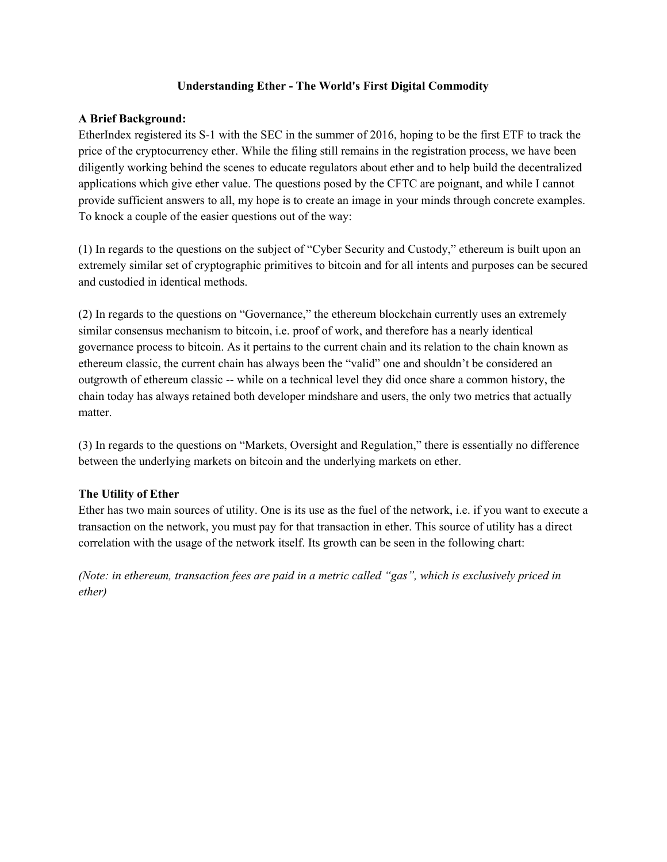### **Understanding Ether - The World's First Digital Commodity**

### **A Brief Background:**

EtherIndex registered its S-1 with the SEC in the summer of 2016, hoping to be the first ETF to track the price of the cryptocurrency ether. While the filing still remains in the registration process, we have been diligently working behind the scenes to educate regulators about ether and to help build the decentralized applications which give ether value. The questions posed by the CFTC are poignant, and while I cannot provide sufficient answers to all, my hope is to create an image in your minds through concrete examples. To knock a couple of the easier questions out of the way:

(1) In regards to the questions on the subject of "Cyber Security and Custody," ethereum is built upon an extremely similar set of cryptographic primitives to bitcoin and for all intents and purposes can be secured and custodied in identical methods.

(2) In regards to the questions on "Governance," the ethereum blockchain currently uses an extremely similar consensus mechanism to bitcoin, i.e. proof of work, and therefore has a nearly identical governance process to bitcoin. As it pertains to the current chain and its relation to the chain known as ethereum classic, the current chain has always been the "valid" one and shouldn't be considered an outgrowth of ethereum classic -- while on a technical level they did once share a common history, the chain today has always retained both developer mindshare and users, the only two metrics that actually matter.

(3) In regards to the questions on "Markets, Oversight and Regulation," there is essentially no difference between the underlying markets on bitcoin and the underlying markets on ether.

## **The Utility of Ether**

Ether has two main sources of utility. One is its use as the fuel of the network, i.e. if you want to execute a transaction on the network, you must pay for that transaction in ether. This source of utility has a direct correlation with the usage of the network itself. Its growth can be seen in the following chart:

*(Note: in ethereum, transaction fees are paid in a metric called "gas", which is exclusively priced in ether)*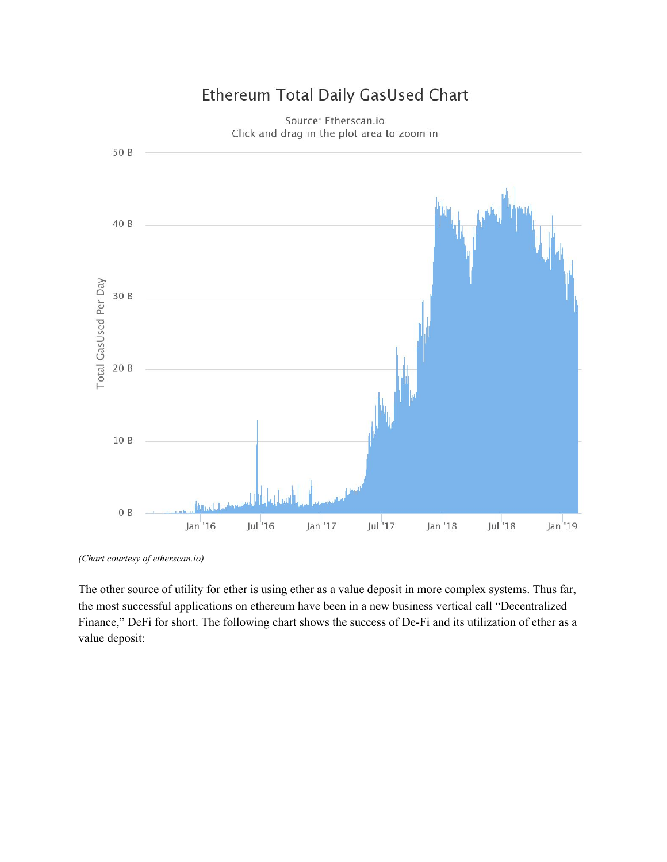

# Ethereum Total Daily GasUsed Chart

Source: Etherscan.io

*(Chart courtesy of etherscan.io)*

The other source of utility for ether is using ether as a value deposit in more complex systems. Thus far, the most successful applications on ethereum have been in a new business vertical call "Decentralized Finance," DeFi for short. The following chart shows the success of De-Fi and its utilization of ether as a value deposit: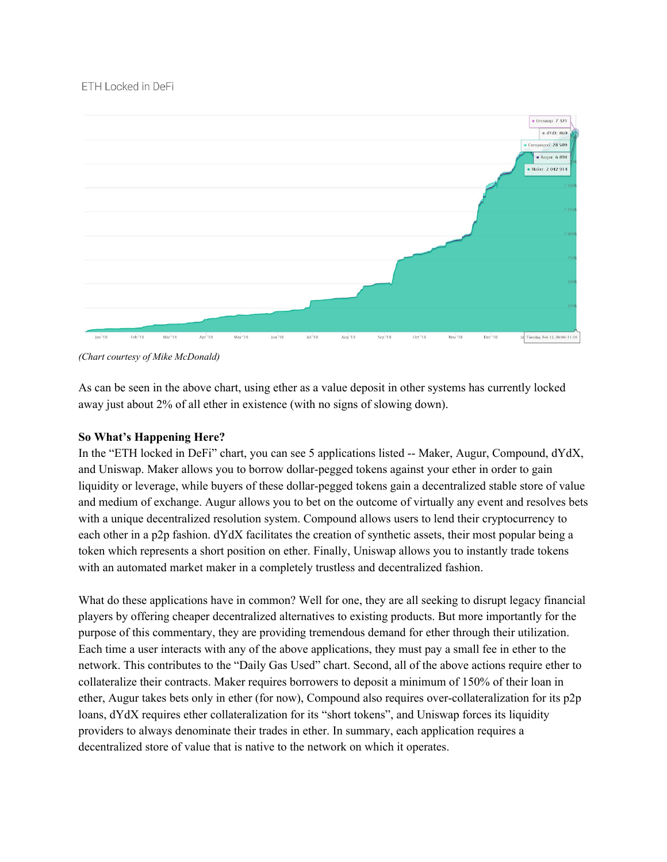## ETH Locked in DeFi



*(Chart courtesy of Mike McDonald)*

As can be seen in the above chart, using ether as a value deposit in other systems has currently locked away just about 2% of all ether in existence (with no signs of slowing down).

## **So What's Happening Here?**

In the "ETH locked in DeFi" chart, you can see 5 applications listed -- Maker, Augur, Compound, dYdX, and Uniswap. Maker allows you to borrow dollar-pegged tokens against your ether in order to gain liquidity or leverage, while buyers of these dollar-pegged tokens gain a decentralized stable store of value and medium of exchange. Augur allows you to bet on the outcome of virtually any event and resolves bets with a unique decentralized resolution system. Compound allows users to lend their cryptocurrency to each other in a p2p fashion. dYdX facilitates the creation of synthetic assets, their most popular being a token which represents a short position on ether. Finally, Uniswap allows you to instantly trade tokens with an automated market maker in a completely trustless and decentralized fashion.

What do these applications have in common? Well for one, they are all seeking to disrupt legacy financial players by offering cheaper decentralized alternatives to existing products. But more importantly for the purpose of this commentary, they are providing tremendous demand for ether through their utilization. Each time a user interacts with any of the above applications, they must pay a small fee in ether to the network. This contributes to the "Daily Gas Used" chart. Second, all of the above actions require ether to collateralize their contracts. Maker requires borrowers to deposit a minimum of 150% of their loan in ether, Augur takes bets only in ether (for now), Compound also requires over-collateralization for its p2p loans, dYdX requires ether collateralization for its "short tokens", and Uniswap forces its liquidity providers to always denominate their trades in ether. In summary, each application requires a decentralized store of value that is native to the network on which it operates.